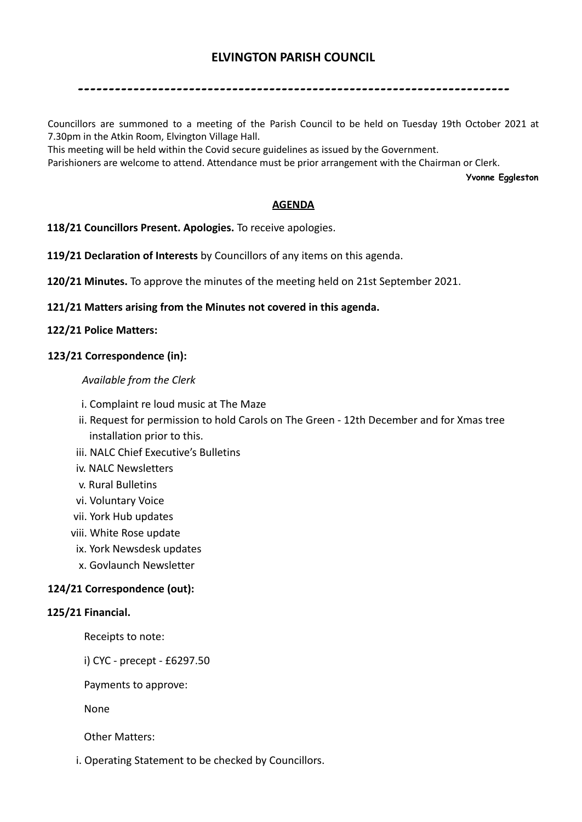# **ELVINGTON PARISH COUNCIL**

----------------------------------------------------------------------

Councillors are summoned to a meeting of the Parish Council to be held on Tuesday 19th October 2021 at 7.30pm in the Atkin Room, Elvington Village Hall.

This meeting will be held within the Covid secure guidelines as issued by the Government.

Parishioners are welcome to attend. Attendance must be prior arrangement with the Chairman or Clerk.

**Yvonne Eggleston**

### **AGENDA**

**118/21 Councillors Present. Apologies.** To receive apologies.

**119/21 Declaration of Interests** by Councillors of any items on this agenda.

**120/21 Minutes.** To approve the minutes of the meeting held on 21st September 2021.

**121/21 Matters arising from the Minutes not covered in this agenda.**

## **122/21 Police Matters:**

## **123/21 Correspondence (in):**

### *Available from the Clerk*

- i. Complaint re loud music at The Maze
- ii. Request for permission to hold Carols on The Green 12th December and for Xmas tree installation prior to this.
- iii. NALC Chief Executive's Bulletins
- iv. NALC Newsletters
- v. Rural Bulletins
- vi. Voluntary Voice
- vii. York Hub updates
- viii. White Rose update
	- ix. York Newsdesk updates
	- x. Govlaunch Newsletter

# **124/21 Correspondence (out):**

### **125/21 Financial.**

Receipts to note:

i) CYC - precept - £6297.50

Payments to approve:

None

Other Matters:

i. Operating Statement to be checked by Councillors.